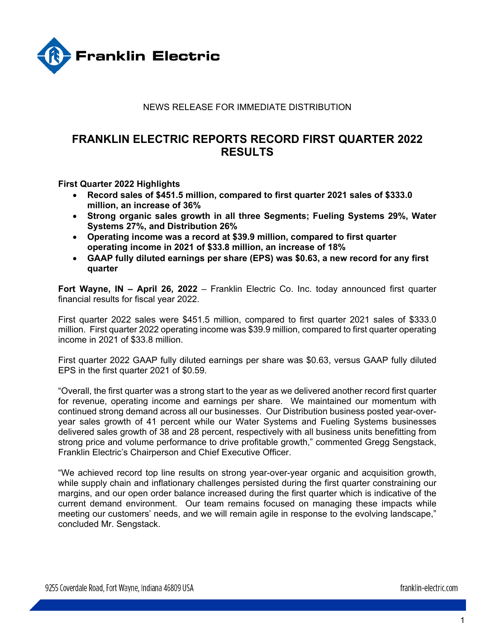

## NEWS RELEASE FOR IMMEDIATE DISTRIBUTION

# **FRANKLIN ELECTRIC REPORTS RECORD FIRST QUARTER 2022 RESULTS**

**First Quarter 2022 Highlights** 

- **Record sales of \$451.5 million, compared to first quarter 2021 sales of \$333.0 million, an increase of 36%**
- **Strong organic sales growth in all three Segments; Fueling Systems 29%, Water Systems 27%, and Distribution 26%**
- **Operating income was a record at \$39.9 million, compared to first quarter operating income in 2021 of \$33.8 million, an increase of 18%**
- **GAAP fully diluted earnings per share (EPS) was \$0.63, a new record for any first quarter**

**Fort Wayne, IN – April 26, 2022** – Franklin Electric Co. Inc. today announced first quarter financial results for fiscal year 2022.

First quarter 2022 sales were \$451.5 million, compared to first quarter 2021 sales of \$333.0 million. First quarter 2022 operating income was \$39.9 million, compared to first quarter operating income in 2021 of \$33.8 million.

First quarter 2022 GAAP fully diluted earnings per share was \$0.63, versus GAAP fully diluted EPS in the first quarter 2021 of \$0.59.

"Overall, the first quarter was a strong start to the year as we delivered another record first quarter for revenue, operating income and earnings per share. We maintained our momentum with continued strong demand across all our businesses. Our Distribution business posted year-overyear sales growth of 41 percent while our Water Systems and Fueling Systems businesses delivered sales growth of 38 and 28 percent, respectively with all business units benefitting from strong price and volume performance to drive profitable growth," commented Gregg Sengstack, Franklin Electric's Chairperson and Chief Executive Officer.

"We achieved record top line results on strong year-over-year organic and acquisition growth, while supply chain and inflationary challenges persisted during the first quarter constraining our margins, and our open order balance increased during the first quarter which is indicative of the current demand environment. Our team remains focused on managing these impacts while meeting our customers' needs, and we will remain agile in response to the evolving landscape," concluded Mr. Sengstack.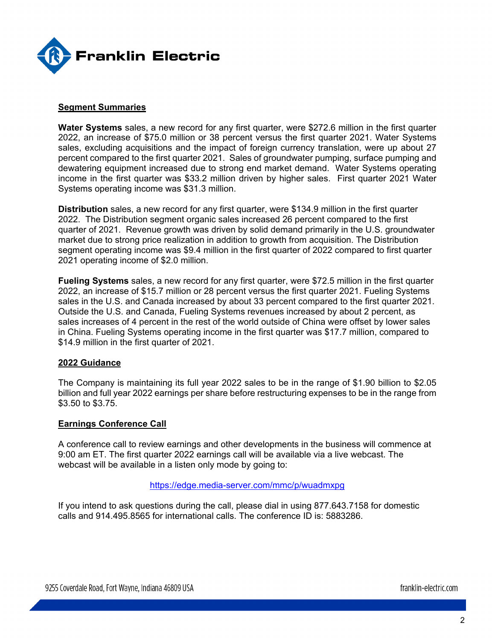

#### **Segment Summaries**

**Water Systems** sales, a new record for any first quarter, were \$272.6 million in the first quarter 2022, an increase of \$75.0 million or 38 percent versus the first quarter 2021. Water Systems sales, excluding acquisitions and the impact of foreign currency translation, were up about 27 percent compared to the first quarter 2021. Sales of groundwater pumping, surface pumping and dewatering equipment increased due to strong end market demand. Water Systems operating income in the first quarter was \$33.2 million driven by higher sales. First quarter 2021 Water Systems operating income was \$31.3 million.

**Distribution** sales, a new record for any first quarter, were \$134.9 million in the first quarter 2022. The Distribution segment organic sales increased 26 percent compared to the first quarter of 2021. Revenue growth was driven by solid demand primarily in the U.S. groundwater market due to strong price realization in addition to growth from acquisition. The Distribution segment operating income was \$9.4 million in the first quarter of 2022 compared to first quarter 2021 operating income of \$2.0 million.

**Fueling Systems** sales, a new record for any first quarter, were \$72.5 million in the first quarter 2022, an increase of \$15.7 million or 28 percent versus the first quarter 2021. Fueling Systems sales in the U.S. and Canada increased by about 33 percent compared to the first quarter 2021. Outside the U.S. and Canada, Fueling Systems revenues increased by about 2 percent, as sales increases of 4 percent in the rest of the world outside of China were offset by lower sales in China. Fueling Systems operating income in the first quarter was \$17.7 million, compared to \$14.9 million in the first quarter of 2021.

#### **2022 Guidance**

The Company is maintaining its full year 2022 sales to be in the range of \$1.90 billion to \$2.05 billion and full year 2022 earnings per share before restructuring expenses to be in the range from \$3.50 to \$3.75.

### **Earnings Conference Call**

A conference call to review earnings and other developments in the business will commence at 9:00 am ET. The first quarter 2022 earnings call will be available via a live webcast. The webcast will be available in a listen only mode by going to:

#### https://edge.media-server.com/mmc/p/wuadmxpg

If you intend to ask questions during the call, please dial in using 877.643.7158 for domestic calls and 914.495.8565 for international calls. The conference ID is: 5883286.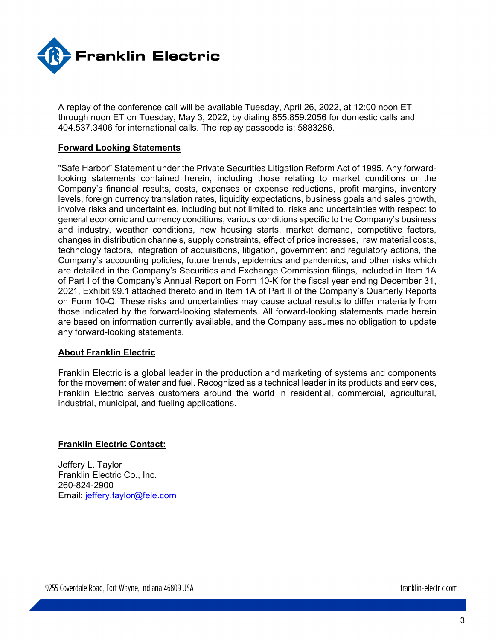

A replay of the conference call will be available Tuesday, April 26, 2022, at 12:00 noon ET through noon ET on Tuesday, May 3, 2022, by dialing 855.859.2056 for domestic calls and 404.537.3406 for international calls. The replay passcode is: 5883286.

#### **Forward Looking Statements**

"Safe Harbor" Statement under the Private Securities Litigation Reform Act of 1995. Any forwardlooking statements contained herein, including those relating to market conditions or the Company's financial results, costs, expenses or expense reductions, profit margins, inventory levels, foreign currency translation rates, liquidity expectations, business goals and sales growth, involve risks and uncertainties, including but not limited to, risks and uncertainties with respect to general economic and currency conditions, various conditions specific to the Company's business and industry, weather conditions, new housing starts, market demand, competitive factors, changes in distribution channels, supply constraints, effect of price increases, raw material costs, technology factors, integration of acquisitions, litigation, government and regulatory actions, the Company's accounting policies, future trends, epidemics and pandemics, and other risks which are detailed in the Company's Securities and Exchange Commission filings, included in Item 1A of Part I of the Company's Annual Report on Form 10-K for the fiscal year ending December 31, 2021, Exhibit 99.1 attached thereto and in Item 1A of Part II of the Company's Quarterly Reports on Form 10-Q. These risks and uncertainties may cause actual results to differ materially from those indicated by the forward-looking statements. All forward-looking statements made herein are based on information currently available, and the Company assumes no obligation to update any forward-looking statements.

#### **About Franklin Electric**

Franklin Electric is a global leader in the production and marketing of systems and components for the movement of water and fuel. Recognized as a technical leader in its products and services, Franklin Electric serves customers around the world in residential, commercial, agricultural, industrial, municipal, and fueling applications.

#### **Franklin Electric Contact:**

Jeffery L. Taylor Franklin Electric Co., Inc. 260-824-2900 Email: jeffery.taylor@fele.com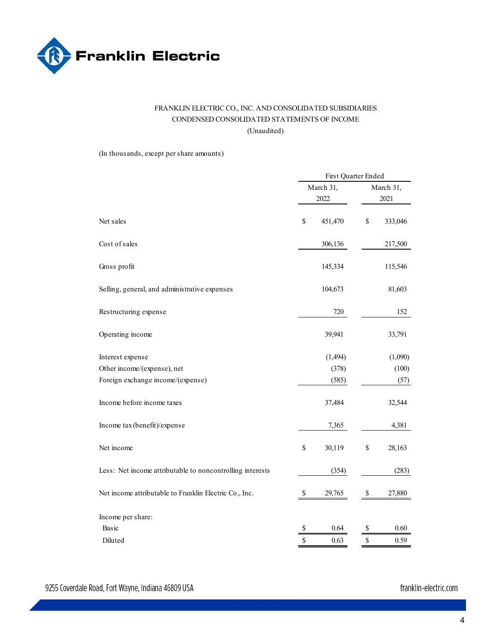

## FRANKLIN ELECTRIC CO., INC. AND CONSOLIDATED SUBSIDIARIES CONDENSED CONSOLIDATED STATEMENTS OF INCOME (Unaudited)

(In thousands, except per share amounts)

|                                                           | First Quarter Ended |           |         |  |  |
|-----------------------------------------------------------|---------------------|-----------|---------|--|--|
|                                                           | March 31,           | March 31, |         |  |  |
|                                                           | 2022                |           | 2021    |  |  |
| Net sales                                                 | \$<br>451,470       | \$        | 333,046 |  |  |
| Cost of sales                                             | 306,136             |           | 217,500 |  |  |
| Gross profit                                              | 145,334             |           | 115,546 |  |  |
| Selling, general, and administrative expenses             | 104,673             |           | 81,603  |  |  |
| Restructuring expense                                     | 720                 |           | 152     |  |  |
| Operating income                                          | 39,941              |           | 33,791  |  |  |
| Interest expense                                          | (1, 494)            |           | (1,090) |  |  |
| Other income/(expense), net                               | (378)               |           | (100)   |  |  |
| Foreign exchange income/(expense)                         | (585)               |           | (57)    |  |  |
| Income before income taxes                                | 37,484              |           | 32,544  |  |  |
| Income tax (benefit)/expense                              | 7,365               |           | 4,381   |  |  |
| Net income                                                | \$<br>30,119        | \$        | 28,163  |  |  |
| Less: Net income attributable to noncontrolling interests | (354)               |           | (283)   |  |  |
| Net income attributable to Franklin Electric Co., Inc.    | \$<br>29,765        | \$        | 27,880  |  |  |
| Income per share:                                         |                     |           |         |  |  |
| Basic                                                     | \$<br>0.64          | \$        | 0.60    |  |  |
| Diluted                                                   | \$<br>0.63          | \$        | 0.59    |  |  |
|                                                           |                     |           |         |  |  |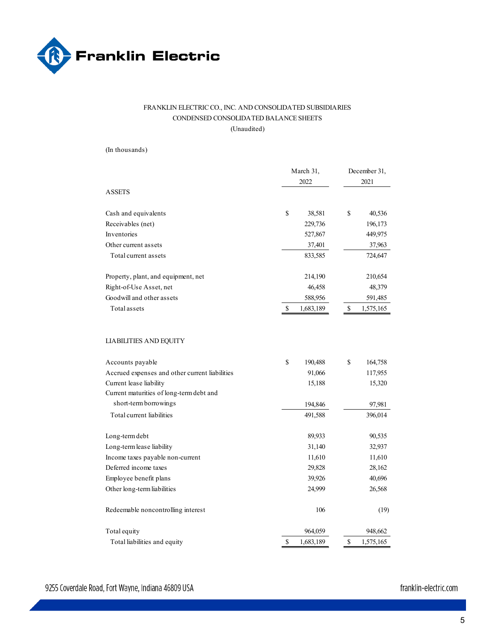

#### FRANKLIN ELECTRIC CO., INC. AND CONSOLIDATED SUBSIDIARIES CONDENSED CONSOLIDATED BALANCE SHEETS (Unaudited)

(In thousands)

|                                                | March 31,<br>2022 |              | December 31,<br>2021 |  |  |  |
|------------------------------------------------|-------------------|--------------|----------------------|--|--|--|
| <b>ASSETS</b>                                  |                   |              |                      |  |  |  |
| Cash and equivalents                           | \$<br>38,581      | \$           | 40,536               |  |  |  |
| Receivables (net)                              | 229,736           |              | 196,173              |  |  |  |
| Inventories                                    | 527,867           |              | 449,975              |  |  |  |
| Other current assets                           | 37,401            |              | 37,963               |  |  |  |
| Total current assets                           | 833,585           |              | 724,647              |  |  |  |
| Property, plant, and equipment, net            | 214,190           |              | 210,654              |  |  |  |
| Right-of-Use Asset, net                        | 46,458            |              | 48,379               |  |  |  |
| Goodwill and other assets                      | 588,956           |              | 591,485              |  |  |  |
| Total assets                                   | \$<br>1,683,189   | $\mathbb{S}$ | 1,575,165            |  |  |  |
| LIABILITIES AND EQUITY                         |                   |              |                      |  |  |  |
| Accounts payable                               | \$<br>190,488     | \$           | 164,758              |  |  |  |
| Accrued expenses and other current liabilities | 91,066            |              | 117,955              |  |  |  |
| Current lease liability                        | 15,188            |              | 15,320               |  |  |  |
| Current maturities of long-term debt and       |                   |              |                      |  |  |  |
| short-term borrowings                          | 194,846           |              | 97,981               |  |  |  |
| Total current liabilities                      | 491,588           |              | 396,014              |  |  |  |
| Long-term debt                                 | 89,933            |              | 90,535               |  |  |  |
| Long-term lease liability                      | 31,140            |              | 32,937               |  |  |  |
| Income taxes payable non-current               | 11,610            |              | 11,610               |  |  |  |
| Deferred income taxes                          | 29,828            |              | 28,162               |  |  |  |
| Employee benefit plans                         | 39,926            |              | 40,696               |  |  |  |
| Other long-term liabilities                    | 24,999            |              | 26,568               |  |  |  |
| Redeemable noncontrolling interest             | 106               |              | (19)                 |  |  |  |
| Total equity                                   | 964,059           |              | 948,662              |  |  |  |
| Total liabilities and equity                   | \$<br>1,683,189   | \$           | 1,575,165            |  |  |  |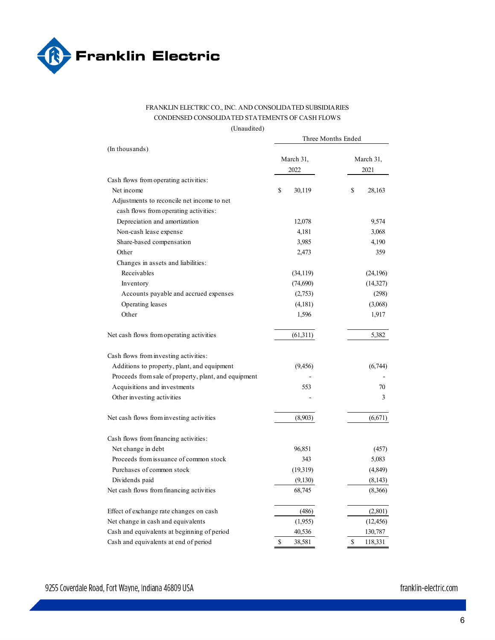

#### FRANKLIN ELECTRIC CO., INC. AND CONSOLIDATED SUBSIDIARIES CONDENSED CONSOLIDATED STATEMENTS OF CASH FLOWS

(Unaudited)

|                                                      | Three Months Ended |               |  |  |  |  |  |
|------------------------------------------------------|--------------------|---------------|--|--|--|--|--|
| (In thousands)                                       |                    |               |  |  |  |  |  |
|                                                      | March 31,          | March 31,     |  |  |  |  |  |
|                                                      | 2022               | 2021          |  |  |  |  |  |
| Cash flows from operating activities:                |                    |               |  |  |  |  |  |
| Net income                                           | \$<br>30,119       | \$<br>28,163  |  |  |  |  |  |
| Adjustments to reconcile net income to net           |                    |               |  |  |  |  |  |
| cash flows from operating activities:                |                    |               |  |  |  |  |  |
| Depreciation and amortization                        | 12,078             | 9,574         |  |  |  |  |  |
| Non-cash lease expense                               | 4,181              | 3,068         |  |  |  |  |  |
| Share-based compensation                             | 3,985              | 4,190         |  |  |  |  |  |
| Other                                                | 2,473              | 359           |  |  |  |  |  |
| Changes in assets and liabilities:                   |                    |               |  |  |  |  |  |
| Receivables                                          | (34, 119)          | (24, 196)     |  |  |  |  |  |
| Inventory                                            | (74,690)           | (14, 327)     |  |  |  |  |  |
| Accounts payable and accrued expenses                | (2,753)            | (298)         |  |  |  |  |  |
| Operating leases                                     | (4,181)            | (3,068)       |  |  |  |  |  |
| Other                                                | 1,596              | 1,917         |  |  |  |  |  |
| Net cash flows from operating activities             | (61,311)           | 5,382         |  |  |  |  |  |
| Cash flows from investing activities:                |                    |               |  |  |  |  |  |
| Additions to property, plant, and equipment          | (9, 456)           | (6,744)       |  |  |  |  |  |
| Proceeds from sale of property, plant, and equipment |                    |               |  |  |  |  |  |
| Acquisitions and investments                         | 553                | 70            |  |  |  |  |  |
| Other investing activities                           |                    | 3             |  |  |  |  |  |
| Net cash flows from investing activities             | (8,903)            | (6,671)       |  |  |  |  |  |
| Cash flows from financing activities:                |                    |               |  |  |  |  |  |
| Net change in debt                                   | 96,851             | (457)         |  |  |  |  |  |
| Proceeds from issuance of common stock               | 343                | 5,083         |  |  |  |  |  |
| Purchases of common stock                            | (19,319)           | (4,849)       |  |  |  |  |  |
| Dividends paid                                       | (9,130)            | (8,143)       |  |  |  |  |  |
| Net cash flows from financing activities             | 68,745             | (8,366)       |  |  |  |  |  |
| Effect of exchange rate changes on cash              | (486)              | (2,801)       |  |  |  |  |  |
| Net change in cash and equivalents                   | (1,955)            | (12, 456)     |  |  |  |  |  |
| Cash and equivalents at beginning of period          | 40,536             | 130,787       |  |  |  |  |  |
| Cash and equivalents at end of period                | \$<br>38,581       | \$<br>118,331 |  |  |  |  |  |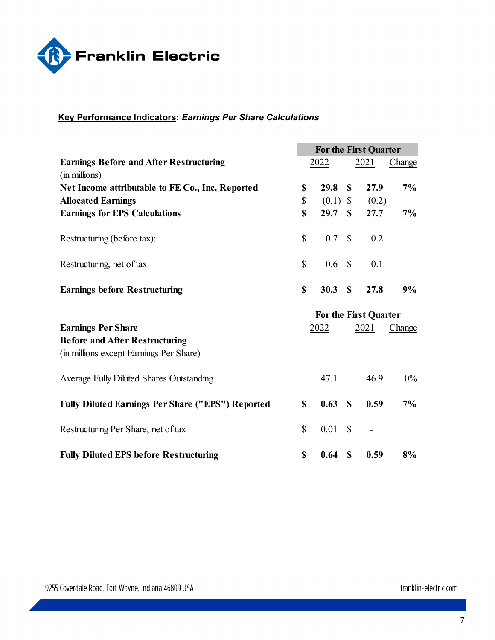

## **Key Performance Indicators:** *Earnings Per Share Calculations*

|                                                                 | <b>For the First Quarter</b> |       |               |       |        |  |  |  |
|-----------------------------------------------------------------|------------------------------|-------|---------------|-------|--------|--|--|--|
| <b>Earnings Before and After Restructuring</b><br>(in millions) |                              | 2022  |               | 2021  | Change |  |  |  |
| Net Income attributable to FE Co., Inc. Reported                | \$                           | 29.8  | \$            | 27.9  | 7%     |  |  |  |
| <b>Allocated Earnings</b>                                       | \$                           | (0.1) | \$            | (0.2) |        |  |  |  |
| <b>Earnings for EPS Calculations</b>                            | $\mathbf S$                  | 29.7  | $\mathbf S$   | 27.7  | 7%     |  |  |  |
| Restructuring (before tax):                                     | $\mathbb{S}$                 | 0.7   | $\mathbb{S}$  | 0.2   |        |  |  |  |
| Restructuring, net of tax:                                      | $\mathbb{S}$                 | 0.6   | $\mathbb{S}$  | 0.1   |        |  |  |  |
| <b>Earnings before Restructuring</b>                            | \$                           | 30.3  | $\mathbf S$   | 27.8  | 9%     |  |  |  |
|                                                                 | For the First Quarter        |       |               |       |        |  |  |  |
|                                                                 |                              |       |               |       |        |  |  |  |
| <b>Earnings Per Share</b>                                       |                              | 2022  |               | 2021  | Change |  |  |  |
| <b>Before and After Restructuring</b>                           |                              |       |               |       |        |  |  |  |
| (in millions except Earnings Per Share)                         |                              |       |               |       |        |  |  |  |
| Average Fully Diluted Shares Outstanding                        |                              | 47.1  |               | 46.9  | $0\%$  |  |  |  |
| <b>Fully Diluted Earnings Per Share ("EPS") Reported</b>        | \$                           | 0.63  | $\mathbf S$   | 0.59  | 7%     |  |  |  |
| Restructuring Per Share, net of tax                             | $\mathbb{S}$                 | 0.01  | $\mathcal{S}$ |       |        |  |  |  |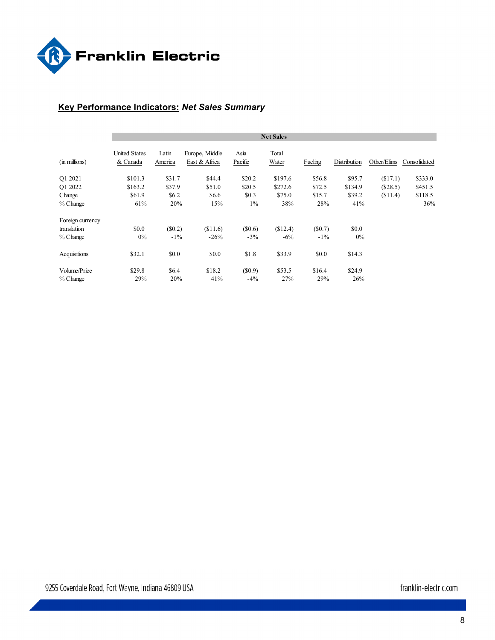

## **Key Performance Indicators:** *Net Sales Summary*

|                  |                                  |                  |                                 |                 | <b>Net Sales</b> |         |              |             |              |
|------------------|----------------------------------|------------------|---------------------------------|-----------------|------------------|---------|--------------|-------------|--------------|
| (in millions)    | <b>United States</b><br>& Canada | Latin<br>America | Europe, Middle<br>East & Africa | Asia<br>Pacific | Total<br>Water   | Fueling | Distribution | Other/Elims | Consolidated |
| O1 2021          | \$101.3                          | \$31.7           | \$44.4                          | \$20.2          | \$197.6          | \$56.8  | \$95.7       | (S17.1)     | \$333.0      |
| O1 2022          | \$163.2                          | \$37.9           | \$51.0                          | \$20.5          | \$272.6          | \$72.5  | \$134.9      | (\$28.5)    | \$451.5      |
| Change           | \$61.9                           | \$6.2            | \$6.6                           | \$0.3           | \$75.0           | \$15.7  | \$39.2       | (S11.4)     | \$118.5      |
| $%$ Change       | 61%                              | 20%              | 15%                             | $1\%$           | 38%              | 28%     | 41%          |             | 36%          |
| Foreign currency |                                  |                  |                                 |                 |                  |         |              |             |              |
| translation      | \$0.0                            | (S0.2)           | \$11.6                          | (S0.6)          | (\$12.4)         | (S0.7)  | \$0.0        |             |              |
| $%$ Change       | $0\%$                            | $-1\%$           | $-26%$                          | $-3\%$          | $-6\%$           | $-1\%$  | $0\%$        |             |              |
| Acquisitions     | \$32.1                           | \$0.0            | \$0.0                           | \$1.8           | \$33.9           | \$0.0   | \$14.3       |             |              |
| Volume/Price     | \$29.8                           | \$6.4            | \$18.2                          | $(\$0.9)$       | \$53.5           | \$16.4  | \$24.9       |             |              |
| $%$ Change       | 29%                              | 20%              | 41%                             | $-4\%$          | 27%              | 29%     | 26%          |             |              |